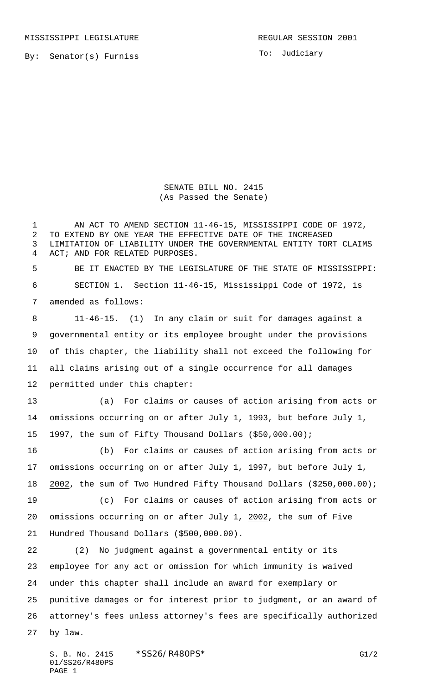MISSISSIPPI LEGISLATURE **REGULAR SESSION 2001** 

By: Senator(s) Furniss

To: Judiciary

SENATE BILL NO. 2415 (As Passed the Senate)

 AN ACT TO AMEND SECTION 11-46-15, MISSISSIPPI CODE OF 1972, TO EXTEND BY ONE YEAR THE EFFECTIVE DATE OF THE INCREASED LIMITATION OF LIABILITY UNDER THE GOVERNMENTAL ENTITY TORT CLAIMS ACT; AND FOR RELATED PURPOSES. BE IT ENACTED BY THE LEGISLATURE OF THE STATE OF MISSISSIPPI: SECTION 1. Section 11-46-15, Mississippi Code of 1972, is amended as follows: 11-46-15. (1) In any claim or suit for damages against a governmental entity or its employee brought under the provisions of this chapter, the liability shall not exceed the following for all claims arising out of a single occurrence for all damages permitted under this chapter: (a) For claims or causes of action arising from acts or omissions occurring on or after July 1, 1993, but before July 1, 1997, the sum of Fifty Thousand Dollars (\$50,000.00); (b) For claims or causes of action arising from acts or omissions occurring on or after July 1, 1997, but before July 1, 2002, the sum of Two Hundred Fifty Thousand Dollars (\$250,000.00); (c) For claims or causes of action arising from acts or omissions occurring on or after July 1, 2002, the sum of Five Hundred Thousand Dollars (\$500,000.00). (2) No judgment against a governmental entity or its employee for any act or omission for which immunity is waived under this chapter shall include an award for exemplary or punitive damages or for interest prior to judgment, or an award of attorney's fees unless attorney's fees are specifically authorized by law.

S. B. No. 2415 \* SS26/R480PS\* G1/2 01/SS26/R480PS PAGE 1